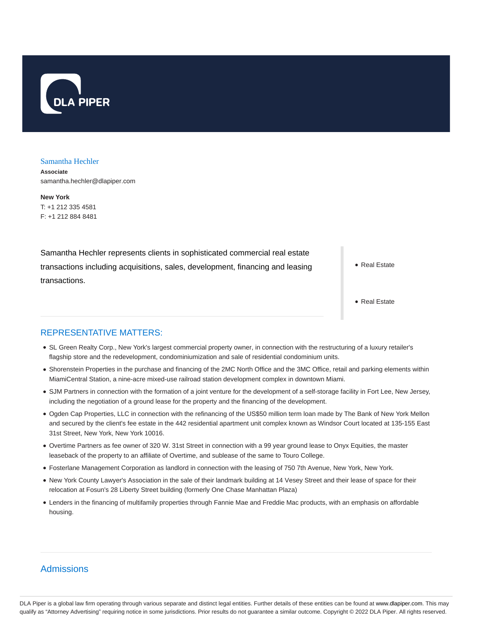

#### Samantha Hechler

**Associate** samantha.hechler@dlapiper.com

**New York** T: +1 212 335 4581 F: +1 212 884 8481

Samantha Hechler represents clients in sophisticated commercial real estate transactions including acquisitions, sales, development, financing and leasing transactions.

Real Estate

• Real Estate

#### REPRESENTATIVE MATTERS:

- SL Green Realty Corp., New York's largest commercial property owner, in connection with the restructuring of a luxury retailer's flagship store and the redevelopment, condominiumization and sale of residential condominium units.
- Shorenstein Properties in the purchase and financing of the 2MC North Office and the 3MC Office, retail and parking elements within MiamiCentral Station, a nine-acre mixed-use railroad station development complex in downtown Miami.
- SJM Partners in connection with the formation of a joint venture for the development of a self-storage facility in Fort Lee, New Jersey, including the negotiation of a ground lease for the property and the financing of the development.
- Ogden Cap Properties, LLC in connection with the refinancing of the US\$50 million term loan made by The Bank of New York Mellon and secured by the client's fee estate in the 442 residential apartment unit complex known as Windsor Court located at 135-155 East 31st Street, New York, New York 10016.
- Overtime Partners as fee owner of 320 W. 31st Street in connection with a 99 year ground lease to Onyx Equities, the master leaseback of the property to an affiliate of Overtime, and sublease of the same to Touro College.
- Fosterlane Management Corporation as landlord in connection with the leasing of 750 7th Avenue, New York, New York.
- New York County Lawyer's Association in the sale of their landmark building at 14 Vesey Street and their lease of space for their relocation at Fosun's 28 Liberty Street building (formerly One Chase Manhattan Plaza)
- Lenders in the financing of multifamily properties through Fannie Mae and Freddie Mac products, with an emphasis on affordable housing.

# Admissions

DLA Piper is a global law firm operating through various separate and distinct legal entities. Further details of these entities can be found at www.dlapiper.com. This may qualify as "Attorney Advertising" requiring notice in some jurisdictions. Prior results do not guarantee a similar outcome. Copyright @ 2022 DLA Piper. All rights reserved.